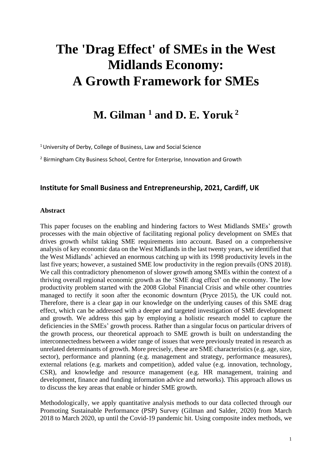# **The 'Drag Effect' of SMEs in the West Midlands Economy: A Growth Framework for SMEs**

# **M. Gilman <sup>1</sup> and D. E. Yoruk <sup>2</sup>**

<sup>1</sup> University of Derby, College of Business, Law and Social Science

<sup>2</sup> Birmingham City Business School, Centre for Enterprise, Innovation and Growth

# **Institute for Small Business and Entrepreneurship, 2021, Cardiff, UK**

#### **Abstract**

This paper focuses on the enabling and hindering factors to West Midlands SMEs' growth processes with the main objective of facilitating regional policy development on SMEs that drives growth whilst taking SME requirements into account. Based on a comprehensive analysis of key economic data on the West Midlands in the last twenty years, we identified that the West Midlands' achieved an enormous catching up with its 1998 productivity levels in the last five years; however, a sustained SME low productivity in the region prevails (ONS 2018). We call this contradictory phenomenon of slower growth among SMEs within the context of a thriving overall regional economic growth as the 'SME drag effect' on the economy. The low productivity problem started with the 2008 Global Financial Crisis and while other countries managed to rectify it soon after the economic downturn (Pryce 2015), the UK could not. Therefore, there is a clear gap in our knowledge on the underlying causes of this SME drag effect, which can be addressed with a deeper and targeted investigation of SME development and growth. We address this gap by employing a holistic research model to capture the deficiencies in the SMEs' growth process. Rather than a singular focus on particular drivers of the growth process, our theoretical approach to SME growth is built on understanding the interconnectedness between a wider range of issues that were previously treated in research as unrelated determinants of growth. More precisely, these are SME characteristics (e.g. age, size, sector), performance and planning (e.g. management and strategy, performance measures), external relations (e.g. markets and competition), added value (e.g. innovation, technology, CSR), and knowledge and resource management (e.g. HR management, training and development, finance and funding information advice and networks). This approach allows us to discuss the key areas that enable or hinder SME growth.

Methodologically, we apply quantitative analysis methods to our data collected through our Promoting Sustainable Performance (PSP) Survey (Gilman and Salder, 2020) from March 2018 to March 2020, up until the Covid-19 pandemic hit. Using composite index methods, we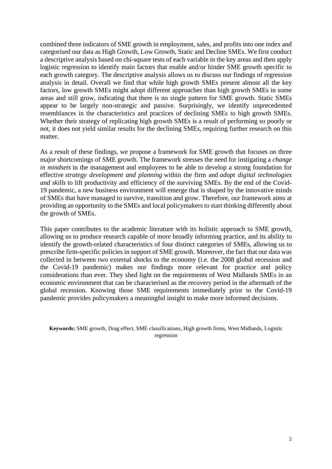combined three indicators of SME growth in employment, sales, and profits into one index and categorised our data as High Growth, Low Growth, Static and Decline SMEs. We first conduct a descriptive analysis based on chi-square tests of each variable in the key areas and then apply logistic regression to identify main factors that enable and/or hinder SME growth specific to each growth category. The descriptive analysis allows us to discuss our findings of regression analysis in detail. Overall we find that while high growth SMEs present almost all the key factors, low growth SMEs might adopt different approaches than high growth SMEs in some areas and still grow, indicating that there is no single pattern for SME growth. Static SMEs appear to be largely non-strategic and passive. Surprisingly, we identify unprecedented resemblances in the characteristics and practices of declining SMEs to high growth SMEs. Whether their strategy of replicating high growth SMEs is a result of performing so poorly or not, it does not yield similar results for the declining SMEs, requiring further research on this matter.

As a result of these findings, we propose a framework for SME growth that focuses on three major shortcomings of SME growth. The framework stresses the need for instigating a *change in mindsets* in the management and employees to be able to develop a strong foundation for effective *strategy development and planning* within the firm and *adopt digital technologies and skills* to lift productivity and efficiency of the surviving SMEs. By the end of the Covid-19 pandemic, a new business environment will emerge that is shaped by the innovative minds of SMEs that have managed to survive, transition and grow. Therefore, our framework aims at providing an opportunity to the SMEs and local policymakers to start thinking differently about the growth of SMEs.

This paper contributes to the academic literature with its holistic approach to SME growth, allowing us to produce research capable of more broadly informing practice, and its ability to identify the growth-related characteristics of four distinct categories of SMEs, allowing us to prescribe firm-specific policies in support of SME growth. Moreover, the fact that our data was collected in between two external shocks to the economy (i.e. the 2008 global recession and the Covid-19 pandemic) makes our findings more relevant for practice and policy considerations than ever. They shed light on the requirements of West Midlands SMEs in an economic environment that can be characterised as the recovery period in the aftermath of the global recession. Knowing those SME requirements immediately prior to the Covid-19 pandemic provides policymakers a meaningful insight to make more informed decisions.

**Keywords:** SME growth, Drag effect, SME classifications, High growth firms, West Midlands, Logistic regression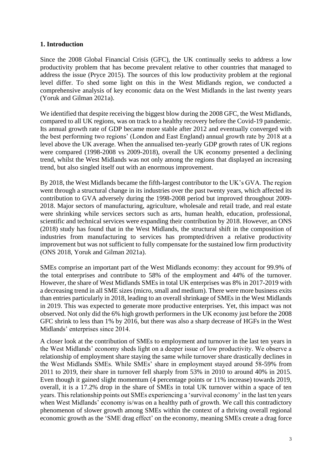# **1. Introduction**

Since the 2008 Global Financial Crisis (GFC), the UK continually seeks to address a low productivity problem that has become prevalent relative to other countries that managed to address the issue (Pryce 2015). The sources of this low productivity problem at the regional level differ. To shed some light on this in the West Midlands region, we conducted a comprehensive analysis of key economic data on the West Midlands in the last twenty years (Yoruk and Gilman 2021a).

We identified that despite receiving the biggest blow during the 2008 GFC, the West Midlands, compared to all UK regions, was on track to a healthy recovery before the Covid-19 pandemic. Its annual growth rate of GDP became more stable after 2012 and eventually converged with the best performing two regions' (London and East England) annual growth rate by 2018 at a level above the UK average. When the annualised ten-yearly GDP growth rates of UK regions were compared (1998-2008 vs 2009-2018), overall the UK economy presented a declining trend, whilst the West Midlands was not only among the regions that displayed an increasing trend, but also singled itself out with an enormous improvement.

By 2018, the West Midlands became the fifth-largest contributor to the UK's GVA. The region went through a structural change in its industries over the past twenty years, which affected its contribution to GVA adversely during the 1998-2008 period but improved throughout 2009- 2018. Major sectors of manufacturing, agriculture, wholesale and retail trade, and real estate were shrinking while services sectors such as arts, human health, education, professional, scientific and technical services were expanding their contribution by 2018. However, an ONS (2018) study has found that in the West Midlands, the structural shift in the composition of industries from manufacturing to services has prompted/driven a relative productivity improvement but was not sufficient to fully compensate for the sustained low firm productivity (ONS 2018, Yoruk and Gilman 2021a).

SMEs comprise an important part of the West Midlands economy: they account for 99.9% of the total enterprises and contribute to 58% of the employment and 44% of the turnover. However, the share of West Midlands SMEs in total UK enterprises was 8% in 2017-2019 with a decreasing trend in all SME sizes (micro, small and medium). There were more business exits than entries particularly in 2018, leading to an overall shrinkage of SMEs in the West Midlands in 2019. This was expected to generate more productive enterprises. Yet, this impact was not observed. Not only did the 6% high growth performers in the UK economy just before the 2008 GFC shrink to less than 1% by 2016, but there was also a sharp decrease of HGFs in the West Midlands' enterprises since 2014.

A closer look at the contribution of SMEs to employment and turnover in the last ten years in the West Midlands' economy sheds light on a deeper issue of low productivity. We observe a relationship of employment share staying the same while turnover share drastically declines in the West Midlands SMEs. While SMEs' share in employment stayed around 58-59% from 2011 to 2019, their share in turnover fell sharply from 53% in 2010 to around 40% in 2015. Even though it gained slight momentum (4 percentage points or 11% increase) towards 2019, overall, it is a 17.2% drop in the share of SMEs in total UK turnover within a space of ten years. This relationship points out SMEs experiencing a 'survival economy' in the last ten years when West Midlands' economy is/was on a healthy path of growth. We call this contradictory phenomenon of slower growth among SMEs within the context of a thriving overall regional economic growth as the 'SME drag effect' on the economy, meaning SMEs create a drag force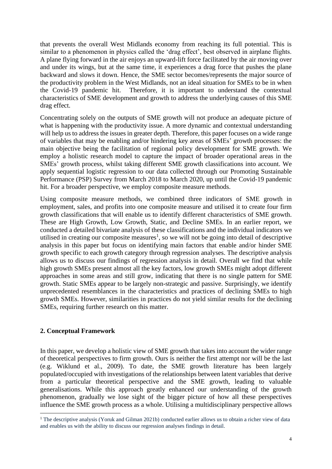that prevents the overall West Midlands economy from reaching its full potential. This is similar to a phenomenon in physics called the 'drag effect', best observed in airplane flights. A plane flying forward in the air enjoys an upward-lift force facilitated by the air moving over and under its wings, but at the same time, it experiences a drag force that pushes the plane backward and slows it down. Hence, the SME sector becomes/represents the major source of the productivity problem in the West Midlands, not an ideal situation for SMEs to be in when the Covid-19 pandemic hit. Therefore, it is important to understand the contextual characteristics of SME development and growth to address the underlying causes of this SME drag effect.

Concentrating solely on the outputs of SME growth will not produce an adequate picture of what is happening with the productivity issue. A more dynamic and contextual understanding will help us to address the issues in greater depth. Therefore, this paper focuses on a wide range of variables that may be enabling and/or hindering key areas of SMEs' growth processes: the main objective being the facilitation of regional policy development for SME growth. We employ a holistic research model to capture the impact of broader operational areas in the SMEs' growth process, whilst taking different SME growth classifications into account. We apply sequential logistic regression to our data collected through our Promoting Sustainable Performance (PSP) Survey from March 2018 to March 2020, up until the Covid-19 pandemic hit. For a broader perspective, we employ composite measure methods.

Using composite measure methods, we combined three indicators of SME growth in employment, sales, and profits into one composite measure and utilised it to create four firm growth classifications that will enable us to identify different characteristics of SME growth. These are High Growth, Low Growth, Static, and Decline SMEs. In an earlier report, we conducted a detailed bivariate analysis of these classifications and the individual indicators we utilised in creating our composite measures<sup>1</sup>, so we will not be going into detail of descriptive analysis in this paper but focus on identifying main factors that enable and/or hinder SME growth specific to each growth category through regression analyses. The descriptive analysis allows us to discuss our findings of regression analysis in detail. Overall we find that while high growth SMEs present almost all the key factors, low growth SMEs might adopt different approaches in some areas and still grow, indicating that there is no single pattern for SME growth. Static SMEs appear to be largely non-strategic and passive. Surprisingly, we identify unprecedented resemblances in the characteristics and practices of declining SMEs to high growth SMEs. However, similarities in practices do not yield similar results for the declining SMEs, requiring further research on this matter.

# **2. Conceptual Framework**

In this paper, we develop a holistic view of SME growth that takes into account the wider range of theoretical perspectives to firm growth. Ours is neither the first attempt nor will be the last (e.g. Wiklund et al., 2009). To date, the SME growth literature has been largely populated/occupied with investigations of the relationships between latent variables that derive from a particular theoretical perspective and the SME growth, leading to valuable generalisations. While this approach greatly enhanced our understanding of the growth phenomenon, gradually we lose sight of the bigger picture of how all these perspectives influence the SME growth process as a whole. Utilising a multidisciplinary perspective allows

<sup>&</sup>lt;sup>1</sup> The descriptive analysis (Yoruk and Gilman 2021b) conducted earlier allows us to obtain a richer view of data and enables us with the ability to discuss our regression analyses findings in detail.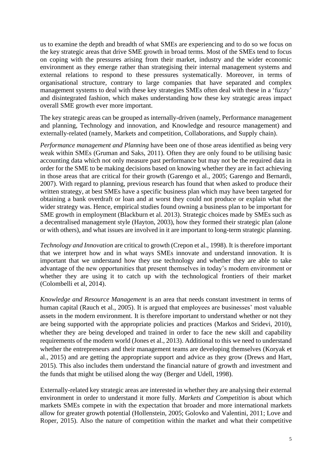us to examine the depth and breadth of what SMEs are experiencing and to do so we focus on the key strategic areas that drive SME growth in broad terms. Most of the SMEs tend to focus on coping with the pressures arising from their market, industry and the wider economic environment as they emerge rather than strategising their internal management systems and external relations to respond to these pressures systematically. Moreover, in terms of organisational structure, contrary to large companies that have separated and complex management systems to deal with these key strategies SMEs often deal with these in a 'fuzzy' and disintegrated fashion, which makes understanding how these key strategic areas impact overall SME growth ever more important.

The key strategic areas can be grouped as internally-driven (namely, Performance management and planning, Technology and innovation, and Knowledge and resource management) and externally-related (namely, Markets and competition, Collaborations, and Supply chain).

*Performance management and Planning* have been one of those areas identified as being very weak within SMEs (Gruman and Saks, 2011). Often they are only found to be utilising basic accounting data which not only measure past performance but may not be the required data in order for the SME to be making decisions based on knowing whether they are in fact achieving in those areas that are critical for their growth (Garengo et al., 2005; Garengo and Bernardi, 2007). With regard to planning, previous research has found that when asked to produce their written strategy, at best SMEs have a specific business plan which may have been targeted for obtaining a bank overdraft or loan and at worst they could not produce or explain what the wider strategy was. Hence, empirical studies found owning a business plan to be important for SME growth in employment (Blackburn et al. 2013). Strategic choices made by SMEs such as a decentralised management style (Hayton, 2003), how they formed their strategic plan (alone or with others), and what issues are involved in it are important to long-term strategic planning.

*Technology and Innovation* are critical to growth (Crepon et al., 1998). It is therefore important that we interpret how and in what ways SMEs innovate and understand innovation. It is important that we understand how they use technology and whether they are able to take advantage of the new opportunities that present themselves in today's modern environment or whether they are using it to catch up with the technological frontiers of their market (Colombelli et al, 2014).

*Knowledge and Resource Management* is an area that needs constant investment in terms of human capital (Rauch et al., 2005). It is argued that employees are businesses' most valuable assets in the modern environment. It is therefore important to understand whether or not they are being supported with the appropriate policies and practices (Markos and Sridevi, 2010), whether they are being developed and trained in order to face the new skill and capability requirements of the modern world (Jones et al., 2013). Additional to this we need to understand whether the entrepreneurs and their management teams are developing themselves (Koryak et al., 2015) and are getting the appropriate support and advice as they grow (Drews and Hart, 2015). This also includes them understand the financial nature of growth and investment and the funds that might be utilised along the way (Berger and Udell, 1998).

Externally-related key strategic areas are interested in whether they are analysing their external environment in order to understand it more fully. *Markets and Competition* is about which markets SMEs compete in with the expectation that broader and more international markets allow for greater growth potential (Hollenstein, 2005; Golovko and Valentini, 2011; Love and Roper, 2015). Also the nature of competition within the market and what their competitive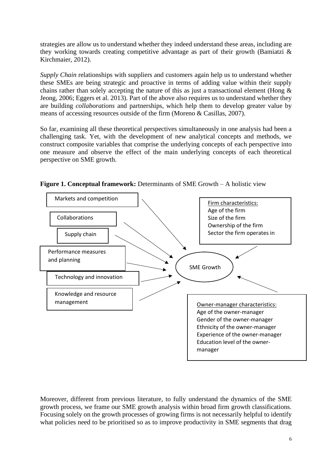strategies are allow us to understand whether they indeed understand these areas, including are they working towards creating competitive advantage as part of their growth (Bamiatzi & Kirchmaier, 2012).

*Supply Chain* relationships with suppliers and customers again help us to understand whether these SMEs are being strategic and proactive in terms of adding value within their supply chains rather than solely accepting the nature of this as just a transactional element (Hong  $\&$ Jeong, 2006; Eggers et al. 2013). Part of the above also requires us to understand whether they are building *collaborations* and partnerships, which help them to develop greater value by means of accessing resources outside of the firm (Moreno & Casillas, 2007).

So far, examining all these theoretical perspectives simultaneously in one analysis had been a challenging task. Yet, with the development of new analytical concepts and methods, we construct composite variables that comprise the underlying concepts of each perspective into one measure and observe the effect of the main underlying concepts of each theoretical perspective on SME growth.



**Figure 1. Conceptual framework:** Determinants of SME Growth – A holistic view

Moreover, different from previous literature, to fully understand the dynamics of the SME growth process, we frame our SME growth analysis within broad firm growth classifications. Focusing solely on the growth processes of growing firms is not necessarily helpful to identify what policies need to be prioritised so as to improve productivity in SME segments that drag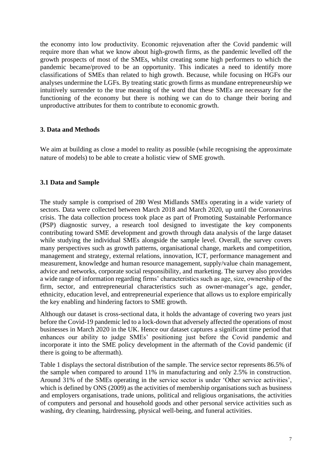the economy into low productivity. Economic rejuvenation after the Covid pandemic will require more than what we know about high-growth firms, as the pandemic levelled off the growth prospects of most of the SMEs, whilst creating some high performers to which the pandemic became/proved to be an opportunity. This indicates a need to identify more classifications of SMEs than related to high growth. Because, while focusing on HGFs our analyses undermine the LGFs. By treating static growth firms as mundane entrepreneurship we intuitively surrender to the true meaning of the word that these SMEs are necessary for the functioning of the economy but there is nothing we can do to change their boring and unproductive attributes for them to contribute to economic growth.

#### **3. Data and Methods**

We aim at building as close a model to reality as possible (while recognising the approximate nature of models) to be able to create a holistic view of SME growth.

#### **3.1 Data and Sample**

The study sample is comprised of 280 West Midlands SMEs operating in a wide variety of sectors. Data were collected between March 2018 and March 2020, up until the Coronavirus crisis. The data collection process took place as part of Promoting Sustainable Performance (PSP) diagnostic survey, a research tool designed to investigate the key components contributing toward SME development and growth through data analysis of the large dataset while studying the individual SMEs alongside the sample level. Overall, the survey covers many perspectives such as growth patterns, organisational change, markets and competition, management and strategy, external relations, innovation, ICT, performance management and measurement, knowledge and human resource management, supply/value chain management, advice and networks, corporate social responsibility, and marketing. The survey also provides a wide range of information regarding firms' characteristics such as age, size, ownership of the firm, sector, and entrepreneurial characteristics such as owner-manager's age, gender, ethnicity, education level, and entrepreneurial experience that allows us to explore empirically the key enabling and hindering factors to SME growth.

Although our dataset is cross-sectional data, it holds the advantage of covering two years just before the Covid-19 pandemic led to a lock-down that adversely affected the operations of most businesses in March 2020 in the UK. Hence our dataset captures a significant time period that enhances our ability to judge SMEs' positioning just before the Covid pandemic and incorporate it into the SME policy development in the aftermath of the Covid pandemic (if there is going to be aftermath).

Table 1 displays the sectoral distribution of the sample. The service sector represents 86.5% of the sample when compared to around 11% in manufacturing and only 2.5% in construction. Around 31% of the SMEs operating in the service sector is under 'Other service activities', which is defined by ONS (2009) as the activities of membership organisations such as business and employers organisations, trade unions, political and religious organisations, the activities of computers and personal and household goods and other personal service activities such as washing, dry cleaning, hairdressing, physical well-being, and funeral activities.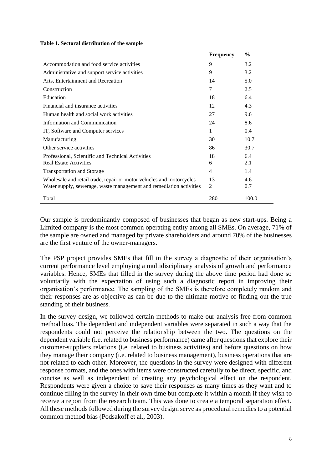|  |  | Table 1. Sectoral distribution of the sample |  |  |  |
|--|--|----------------------------------------------|--|--|--|
|--|--|----------------------------------------------|--|--|--|

|                                                                      | <b>Frequency</b> | $\frac{6}{9}$ |
|----------------------------------------------------------------------|------------------|---------------|
| Accommodation and food service activities                            | 9                | 3.2           |
| Administrative and support service activities                        | 9                | 3.2           |
| Arts, Entertainment and Recreation                                   | 14               | 5.0           |
| Construction                                                         | 7                | 2.5           |
| Education                                                            | 18               | 6.4           |
| Financial and insurance activities                                   | 12               | 4.3           |
| Human health and social work activities                              | 27               | 9.6           |
| Information and Communication                                        | 24               | 8.6           |
| IT, Software and Computer services                                   | 1                | 0.4           |
| Manufacturing                                                        | 30               | 10.7          |
| Other service activities                                             | 86               | 30.7          |
| Professional, Scientific and Technical Activities                    | 18               | 6.4           |
| <b>Real Estate Activities</b>                                        | 6                | 2.1           |
| <b>Transportation and Storage</b>                                    | 4                | 1.4           |
| Wholesale and retail trade, repair or motor vehicles and motorcycles | 13               | 4.6           |
| Water supply, sewerage, waste management and remediation activities  | 2                | 0.7           |
| Total                                                                | 280              | 100.0         |

Our sample is predominantly composed of businesses that began as new start-ups. Being a Limited company is the most common operating entity among all SMEs. On average, 71% of the sample are owned and managed by private shareholders and around 70% of the businesses are the first venture of the owner-managers.

The PSP project provides SMEs that fill in the survey a diagnostic of their organisation's current performance level employing a multidisciplinary analysis of growth and performance variables. Hence, SMEs that filled in the survey during the above time period had done so voluntarily with the expectation of using such a diagnostic report in improving their organisation's performance. The sampling of the SMEs is therefore completely random and their responses are as objective as can be due to the ultimate motive of finding out the true standing of their business.

In the survey design, we followed certain methods to make our analysis free from common method bias. The dependent and independent variables were separated in such a way that the respondents could not perceive the relationship between the two. The questions on the dependent variable (i.e. related to business performance) came after questions that explore their customer-suppliers relations (i.e. related to business activities) and before questions on how they manage their company (i.e. related to business management), business operations that are not related to each other. Moreover, the questions in the survey were designed with different response formats, and the ones with items were constructed carefully to be direct, specific, and concise as well as independent of creating any psychological effect on the respondent. Respondents were given a choice to save their responses as many times as they want and to continue filling in the survey in their own time but complete it within a month if they wish to receive a report from the research team. This was done to create a temporal separation effect. All these methods followed during the survey design serve as procedural remedies to a potential common method bias (Podsakoff et al., 2003).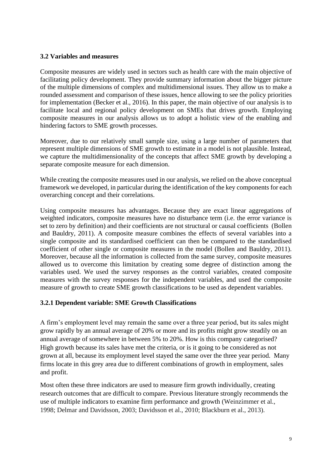# **3.2 Variables and measures**

Composite measures are widely used in sectors such as health care with the main objective of facilitating policy development. They provide summary information about the bigger picture of the multiple dimensions of complex and multidimensional issues. They allow us to make a rounded assessment and comparison of these issues, hence allowing to see the policy priorities for implementation (Becker et al., 2016). In this paper, the main objective of our analysis is to facilitate local and regional policy development on SMEs that drives growth. Employing composite measures in our analysis allows us to adopt a holistic view of the enabling and hindering factors to SME growth processes.

Moreover, due to our relatively small sample size, using a large number of parameters that represent multiple dimensions of SME growth to estimate in a model is not plausible. Instead, we capture the multidimensionality of the concepts that affect SME growth by developing a separate composite measure for each dimension.

While creating the composite measures used in our analysis, we relied on the above conceptual framework we developed, in particular during the identification of the key components for each overarching concept and their correlations.

Using composite measures has advantages. Because they are exact linear aggregations of weighted indicators, composite measures have no disturbance term (i.e. the error variance is set to zero by definition) and their coefficients are not structural or causal coefficients (Bollen and Bauldry, 2011). A composite measure combines the effects of several variables into a single composite and its standardised coefficient can then be compared to the standardised coefficient of other single or composite measures in the model (Bollen and Bauldry, 2011). Moreover, because all the information is collected from the same survey, composite measures allowed us to overcome this limitation by creating some degree of distinction among the variables used. We used the survey responses as the control variables, created composite measures with the survey responses for the independent variables, and used the composite measure of growth to create SME growth classifications to be used as dependent variables.

# **3.2.1 Dependent variable: SME Growth Classifications**

A firm's employment level may remain the same over a three year period, but its sales might grow rapidly by an annual average of 20% or more and its profits might grow steadily on an annual average of somewhere in between 5% to 20%. How is this company categorised? High growth because its sales have met the criteria, or is it going to be considered as not grown at all, because its employment level stayed the same over the three year period. Many firms locate in this grey area due to different combinations of growth in employment, sales and profit.

Most often these three indicators are used to measure firm growth individually, creating research outcomes that are difficult to compare. Previous literature strongly recommends the use of multiple indicators to examine firm performance and growth (Weinzimmer et al., 1998; Delmar and Davidsson, 2003; Davidsson et al., 2010; Blackburn et al., 2013).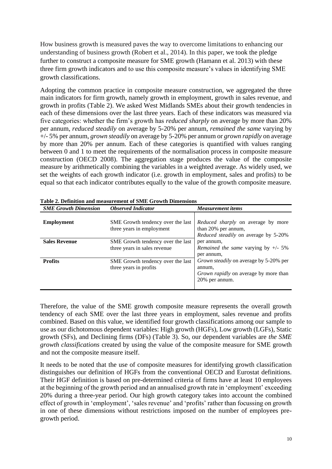How business growth is measured paves the way to overcome limitations to enhancing our understanding of business growth (Robert et al., 2014). In this paper, we took the pledge further to construct a composite measure for SME growth (Hamann et al. 2013) with these three firm growth indicators and to use this composite measure's values in identifying SME growth classifications.

Adopting the common practice in composite measure construction, we aggregated the three main indicators for firm growth, namely growth in employment, growth in sales revenue, and growth in profits (Table 2). We asked West Midlands SMEs about their growth tendencies in each of these dimensions over the last three years. Each of these indicators was measured via five categories: whether the firm's growth has *reduced sharply* on average by more than 20% per annum, *reduced steadily* on average by 5-20% per annum, *remained the same* varying by +/- 5% per annum, *grown steadily* on average by 5-20% per annum or *grown rapidly* on average by more than 20% per annum. Each of these categories is quantified with values ranging between 0 and 1 to meet the requirements of the normalisation process in composite measure construction (OECD 2008). The aggregation stage produces the value of the composite measure by arithmetically combining the variables in a weighted average. As widely used, we set the weights of each growth indicator (i.e. growth in employment, sales and profits) to be equal so that each indicator contributes equally to the value of the growth composite measure.

| <b>SME Growth Dimension</b> | <b>Observed Indicator</b>                                         | <b>Measurement items</b>                                                                                                  |
|-----------------------------|-------------------------------------------------------------------|---------------------------------------------------------------------------------------------------------------------------|
| <b>Employment</b>           | SME Growth tendency over the last<br>three years in employment    | Reduced sharply on average by more<br>than 20% per annum,<br><i>Reduced steadily</i> on average by 5-20%                  |
| <b>Sales Revenue</b>        | SME Growth tendency over the last<br>three years in sales revenue | per annum,<br><i>Remained the same varying by <math>+/- 5\%</math></i><br>per annum.                                      |
| <b>Profits</b>              | SME Growth tendency over the last<br>three years in profits       | <i>Grown steadily</i> on average by 5-20% per<br>annum,<br><i>Grown rapidly</i> on average by more than<br>20% per annum. |

**Table 2. Definition and measurement of SME Growth Dimensions** 

Therefore, the value of the SME growth composite measure represents the overall growth tendency of each SME over the last three years in employment, sales revenue and profits combined. Based on this value, we identified four growth classifications among our sample to use as our dichotomous dependent variables: High growth (HGFs), Low growth (LGFs), Static growth (SFs), and Declining firms (DFs) (Table 3). So, our dependent variables are *the SME growth classifications* created by using the value of the composite measure for SME growth and not the composite measure itself.

It needs to be noted that the use of composite measures for identifying growth classification distinguishes our definition of HGFs from the conventional OECD and Eurostat definitions. Their HGF definition is based on pre-determined criteria of firms have at least 10 employees at the beginning of the growth period and an annualised growth rate in 'employment' exceeding 20% during a three-year period. Our high growth category takes into account the combined effect of growth in 'employment', 'sales revenue' and 'profits' rather than focussing on growth in one of these dimensions without restrictions imposed on the number of employees pregrowth period.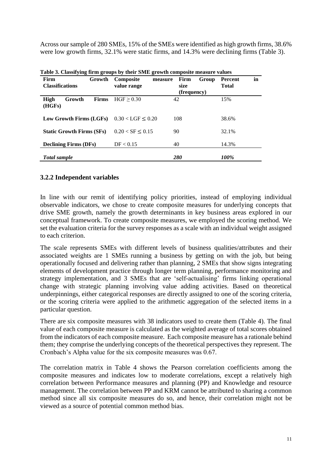Across our sample of 280 SMEs, 15% of the SMEs were identified as high growth firms, 38.6% were low growth firms, 32.1% were static firms, and 14.3% were declining firms (Table 3).

| Firm<br>Growth<br><b>Classifications</b> | <b>Composite</b><br>measure<br>value range | Firm<br>Group<br>size<br>(frequency) | in<br><b>Percent</b><br><b>Total</b> |  |  |  |
|------------------------------------------|--------------------------------------------|--------------------------------------|--------------------------------------|--|--|--|
| High<br>Growth<br><b>Firms</b><br>(HGFs) | HGF > 0.30                                 | 42                                   | 15%                                  |  |  |  |
| Low Growth Firms (LGFs)                  | $0.30 <$ LGF $\leq 0.20$                   | 108                                  | 38.6%                                |  |  |  |
| <b>Static Growth Firms (SFs)</b>         | $0.20 < S$ F $\leq 0.15$                   | 90                                   | 32.1%                                |  |  |  |
| <b>Declining Firms (DFs)</b>             | DF < 0.15                                  | 40                                   | 14.3%                                |  |  |  |
| <b>Total sample</b>                      |                                            | 280                                  | 100%                                 |  |  |  |

**Table 3. Classifying firm groups by their SME growth composite measure values** 

# **3.2.2 Independent variables**

In line with our remit of identifying policy priorities, instead of employing individual observable indicators, we chose to create composite measures for underlying concepts that drive SME growth, namely the growth determinants in key business areas explored in our conceptual framework. To create composite measures, we employed the scoring method. We set the evaluation criteria for the survey responses as a scale with an individual weight assigned to each criterion.

The scale represents SMEs with different levels of business qualities/attributes and their associated weights are 1 SMEs running a business by getting on with the job, but being operationally focused and delivering rather than planning, 2 SMEs that show signs integrating elements of development practice through longer term planning, performance monitoring and strategy implementation, and 3 SMEs that are 'self-actualising' firms linking operational change with strategic planning involving value adding activities. Based on theoretical underpinnings, either categorical responses are directly assigned to one of the scoring criteria, or the scoring criteria were applied to the arithmetic aggregation of the selected items in a particular question.

There are six composite measures with 38 indicators used to create them (Table 4). The final value of each composite measure is calculated as the weighted average of total scores obtained from the indicators of each composite measure. Each composite measure has a rationale behind them; they comprise the underlying concepts of the theoretical perspectives they represent. The Cronbach's Alpha value for the six composite measures was 0.67.

The correlation matrix in Table 4 shows the Pearson correlation coefficients among the composite measures and indicates low to moderate correlations, except a relatively high correlation between Performance measures and planning (PP) and Knowledge and resource management. The correlation between PP and KRM cannot be attributed to sharing a common method since all six composite measures do so, and hence, their correlation might not be viewed as a source of potential common method bias.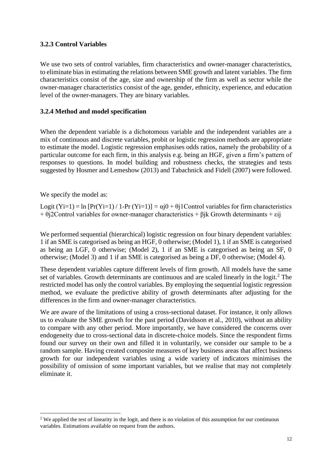# **3.2.3 Control Variables**

We use two sets of control variables, firm characteristics and owner-manager characteristics, to eliminate bias in estimating the relations between SME growth and latent variables. The firm characteristics consist of the age, size and ownership of the firm as well as sector while the owner-manager characteristics consist of the age, gender, ethnicity, experience, and education level of the owner-managers. They are binary variables.

# **3.2.4 Method and model specification**

When the dependent variable is a dichotomous variable and the independent variables are a mix of continuous and discrete variables, probit or logistic regression methods are appropriate to estimate the model. Logistic regression emphasises odds ratios, namely the probability of a particular outcome for each firm, in this analysis e.g. being an HGF, given a firm's pattern of responses to questions. In model building and robustness checks, the strategies and tests suggested by Hosmer and Lemeshow (2013) and Tabachnick and Fidell (2007) were followed.

We specify the model as:

Logit  $(Y_i=1) = \ln [Pr(Y_i=1) / 1 - Pr(Y_i=1)] = \alpha j0 + \theta j1$ Control variables for firm characteristics  $+ \theta$ j2Control variables for owner-manager characteristics  $+ \beta$ jk Growth determinants  $+ \epsilon$ ij

We performed sequential (hierarchical) logistic regression on four binary dependent variables: 1 if an SME is categorised as being an HGF, 0 otherwise; (Model 1), 1 if an SME is categorised as being an LGF, 0 otherwise; (Model 2), 1 if an SME is categorised as being an SF, 0 otherwise; (Model 3) and 1 if an SME is categorised as being a DF, 0 otherwise; (Model 4).

These dependent variables capture different levels of firm growth. All models have the same set of variables. Growth determinants are continuous and are scaled linearly in the logit. $2$  The restricted model has only the control variables. By employing the sequential logistic regression method, we evaluate the predictive ability of growth determinants after adjusting for the differences in the firm and owner-manager characteristics.

We are aware of the limitations of using a cross-sectional dataset. For instance, it only allows us to evaluate the SME growth for the past period (Davidsson et al., 2010), without an ability to compare with any other period. More importantly, we have considered the concerns over endogeneity due to cross-sectional data in discrete-choice models. Since the respondent firms found our survey on their own and filled it in voluntarily, we consider our sample to be a random sample. Having created composite measures of key business areas that affect business growth for our independent variables using a wide variety of indicators minimises the possibility of omission of some important variables, but we realise that may not completely eliminate it.

<sup>&</sup>lt;sup>2</sup> We applied the test of linearity in the logit, and there is no violation of this assumption for our continuous variables. Estimations available on request from the authors.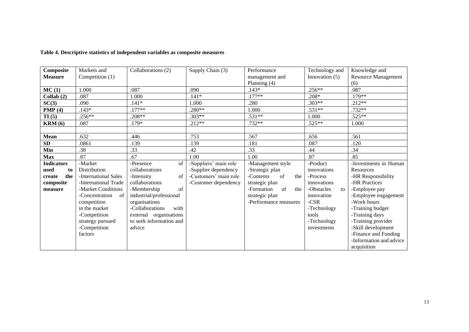| Composite          | Markets and          | Collaborations (2)       | Supply Chain (3)      | Performance             | Technology and   | Knowledge and              |  |  |
|--------------------|----------------------|--------------------------|-----------------------|-------------------------|------------------|----------------------------|--|--|
| <b>Measure</b>     | Competition (1)      |                          |                       | management and          | Innovation $(5)$ | <b>Resource Management</b> |  |  |
|                    |                      |                          |                       | Planning $(4)$          |                  | (6)                        |  |  |
| MC(1)              | 1.000                | .087                     | .090                  | $.143*$                 | $.256**$         | .087                       |  |  |
| Collab $(2)$       | .087                 | 1.000                    | $.141*$               | $.177**$                | $.208*$          | $.179**$                   |  |  |
| SC(3)              | .090                 | $.141*$                  | 1.000                 | .280                    | $.303**$         | $.212**$                   |  |  |
| PMP(4)             | $.143*$              | $.177**$                 | $.280**$              | 1.000                   | $.531**$         | $.732**$                   |  |  |
| TI(5)              | .256**               | $.208**$                 | $.303**$              | $.531**$                | 1.000            | $.525**$                   |  |  |
| $\mathbf{KRM}$ (6) | .087                 | .179*                    | $.212**$              | .732**                  | $.525**$         | 1.000                      |  |  |
|                    |                      |                          |                       |                         |                  |                            |  |  |
| Mean               | .632                 | .446                     | .753                  | .567                    | .656             | .561                       |  |  |
| ${\bf SD}$         | .0861                | .139                     | .139                  | .181                    | .087             | .120                       |  |  |
| Min                | .38                  | .33                      | .42                   | .33                     | .44              | .34                        |  |  |
| <b>Max</b>         | .87                  | .67                      | 1.00                  | 1.00                    | .87              | .85                        |  |  |
| <b>Indicators</b>  | -Market              | of<br>-Presence          | -Suppliers' main role | -Management style       | -Product         | -Investments in Human      |  |  |
| used<br>to         | Distribution         | collaborations           | -Supplier dependency  | -Strategic plan         | innovations      | <b>Resources</b>           |  |  |
| the<br>create      | -International Sales | -Intensity<br>$\sigma$ f | -Customers' main role | -Contents<br>of<br>the  | -Process         | -HR Responsibility         |  |  |
| composite          | -International Trade | collaborations           | -Customer dependency  | strategic plan          | innovations      | -HR Practices              |  |  |
| measure            | -Market Conditions   | of<br>-Membership        |                       | -Formation<br>of<br>the | -Obstacles<br>to | -Employee pay              |  |  |
|                    | -Concentration<br>of | industrial/professional  |                       | strategic plan          | innovation       | -Employee engagement       |  |  |
|                    | competition          | organisations            |                       | -Performance measures   | $-CSR$           | -Work hours                |  |  |
|                    | in the market        | -Collaborations<br>with  |                       |                         | -Technology      | -Training budget           |  |  |
|                    | -Competition         | external organisations   |                       |                         | tools            | -Training days             |  |  |
|                    | strategy pursued     | to seek information and  |                       |                         | -Technology      | -Training provider         |  |  |
|                    | -Competition         | advice                   |                       |                         | investments      | -Skill development         |  |  |
|                    | factors              |                          |                       |                         |                  | -Finance and Funding       |  |  |
|                    |                      |                          |                       |                         |                  | -Information and advice    |  |  |
|                    |                      |                          |                       |                         |                  | acquisition                |  |  |

#### **Table 4. Descriptive statistics of independent variables as composite measures**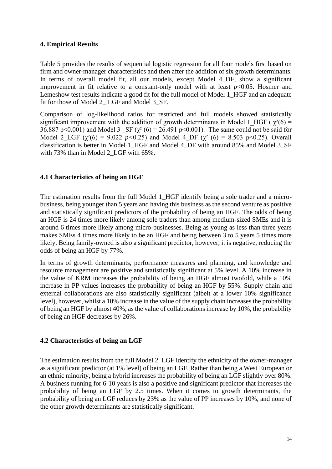# **4. Empirical Results**

Table 5 provides the results of sequential logistic regression for all four models first based on firm and owner-manager characteristics and then after the addition of six growth determinants. In terms of overall model fit, all our models, except Model 4\_DF, show a significant improvement in fit relative to a constant-only model with at least  $p<0.05$ . Hosmer and Lemeshow test results indicate a good fit for the full model of Model 1 HGF and an adequate fit for those of Model 2\_ LGF and Model 3\_SF.

Comparison of log-likelihood ratios for restricted and full models showed statistically significant improvement with the addition of growth determinants in Model 1 HGF ( $\gamma^2(6)$  = 36.887 p<0.001) and Model 3  $\text{SF } (\gamma^2 (6) = 26.491 \text{ p} \le 0.001)$ . The same could not be said for Model 2 LGF  $(\chi^2(6) = 9.022 \text{ } p<0.25)$  and Model 4 DF  $(\chi^2(6) = 8.503 \text{ } p<0.25)$ . Overall classification is better in Model 1 HGF and Model 4 DF with around 85% and Model 3 SF with 73% than in Model 2 LGF with 65%.

# **4.1 Characteristics of being an HGF**

The estimation results from the full Model 1 HGF identify being a sole trader and a microbusiness, being younger than 5 years and having this business as the second venture as positive and statistically significant predictors of the probability of being an HGF. The odds of being an HGF is 24 times more likely among sole traders than among medium-sized SMEs and it is around 6 times more likely among micro-businesses. Being as young as less than three years makes SMEs 4 times more likely to be an HGF and being between 3 to 5 years 5 times more likely. Being family-owned is also a significant predictor, however, it is negative, reducing the odds of being an HGF by 77%.

In terms of growth determinants, performance measures and planning, and knowledge and resource management are positive and statistically significant at 5% level. A 10% increase in the value of KRM increases the probability of being an HGF almost twofold, while a 10% increase in PP values increases the probability of being an HGF by 55%. Supply chain and external collaborations are also statistically significant (albeit at a lower 10% significance level), however, whilst a 10% increase in the value of the supply chain increases the probability of being an HGF by almost 40%, as the value of collaborations increase by 10%, the probability of being an HGF decreases by 26%.

# **4.2 Characteristics of being an LGF**

The estimation results from the full Model 2\_LGF identify the ethnicity of the owner-manager as a significant predictor (at 1% level) of being an LGF. Rather than being a West European or an ethnic minority, being a hybrid increases the probability of being an LGF slightly over 80%. A business running for 6-10 years is also a positive and significant predictor that increases the probability of being an LGF by 2.5 times. When it comes to growth determinants, the probability of being an LGF reduces by 23% as the value of PP increases by 10%, and none of the other growth determinants are statistically significant.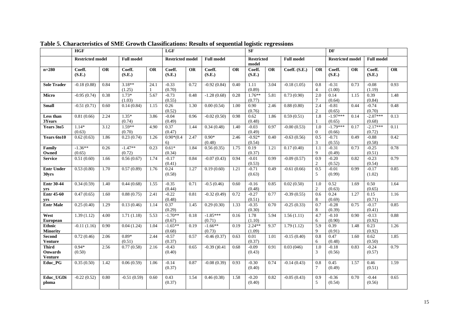|                                                  | <b>HGF</b>              |           | <b>LGF</b>          |           | ${\rm\bf SF}$           |           |                          |      | $\mathbf{D}\mathbf{F}$     |           |                   |                       |                         |           |                      |           |
|--------------------------------------------------|-------------------------|-----------|---------------------|-----------|-------------------------|-----------|--------------------------|------|----------------------------|-----------|-------------------|-----------------------|-------------------------|-----------|----------------------|-----------|
|                                                  | <b>Restricted model</b> |           | <b>Full model</b>   |           | <b>Restricted model</b> |           | <b>Full model</b>        |      | <b>Restricted</b><br>model |           | <b>Full model</b> |                       | <b>Restricted model</b> |           | <b>Full model</b>    |           |
| $n = 280$                                        | Coeff.<br>(S.E.)        | <b>OR</b> | Coeff.<br>(S.E.)    | <b>OR</b> | Coeff.<br>(S.E.)        | <b>OR</b> | Coeff.<br>(S.E.)         | OR   | Coeff.<br>(S.E.)           | <b>OR</b> | Coeff. (S.E.)     | <b>OR</b>             | Coeff.<br>(S.E.)        | <b>OR</b> | Coeff.<br>(S.E.)     | <b>OR</b> |
| <b>Sole Trader</b>                               | $-0.18(0.88)$           | 0.84      | $3.18**$<br>(1.25)  | 24.1      | $-0.33$<br>(0.70)       | 0.72      | $-0.92(0.84)$            | 0.40 | 1.11<br>(0.89)             | 3.04      | $-0.18(1.05)$     | 0.8<br>$\overline{4}$ | $-0.31$<br>(1.00)       | 0.73      | $-0.08$<br>(1.19)    | 0.93      |
| <b>Micro</b>                                     | $-0.95(0.74)$           | 0.38      | $1.73*$<br>(1.03)   | 5.67      | $-0.73$<br>(0.55)       | 0.48      | $-1.28(0.68)$            | 0.28 | $1.76**$<br>(0.77)         | 5.81      | 0.73(0.90)        | 2.0<br>$\tau$         | 0.14<br>(0.64)          | 1.15      | 0.39<br>(0.84)       | 1.48      |
| <b>Small</b>                                     | $-0.51(0.71)$           | 0.60      | 0.14(0.84)          | 1.15      | 0.26<br>(0.52)          | 1.30      | 0.00(0.54)               | 1.00 | 0.90<br>(0.76)             | 2.46      | 0.88(0.80)        | 2.4<br>$\overline{2}$ | $-0.81$<br>(0.65)       | 0.44      | $-0.74$<br>(0.70)    | 0.48      |
| Less than<br>3Years                              | 0.81(0.66)              | 2.24      | $1.35*$<br>(0.74)   | 3.86      | $-0.04$<br>(0.49)       | 0.96      | $-0.02(0.50)$            | 0.98 | 0.62<br>(0.48)             | 1.86      | 0.59(0.51)        | 1.8                   | $-1.97***$<br>(0.65)    | 0.14      | $-2.07***$<br>(0.68) | 0.13      |
| Years 3to5                                       | $1.14*$<br>(0.63)       | 3.12      | $1.59**$<br>(0.70)  | 4.90      | 0.37<br>(0.47)          | 1.44      | 0.34(0.48)               | 1.40 | $-0.03$<br>(0.49)          | 0.97      | $-0.00(0.53)$     | 1.0<br>$\overline{0}$ | $-1.79***$<br>(0.66)    | 0.17      | $-2.17***$<br>(0.72) | 0.11      |
| Years 6to10                                      | 0.62(0.63)              | 1.86      | 0.23(0.74)          | 1.26      | $0.90*(0.4)$<br>6)      | 2.47      | $0.90*$<br>(0.48)        | 2.46 | $-0.92*$<br>(0.54)         | 0.40      | $-0.63(0.56)$     | 0.5<br>3              | $-0.71$<br>(0.55)       | 0.49      | $-0.88$<br>(0.58)    | 0.42      |
| Family<br>Owned                                  | $-1.36**$<br>(0.65)     | 0.26      | $-1.47**$<br>(0.72) | 0.23      | $0.61*$<br>(0.34)       | 1.84      | 0.56(0.35)               | 1.75 | 0.19<br>(0.37)             | 1.21      | 0.17(0.40)        | 1.1<br>$\mathbf{Q}$   | $-0.31$<br>(0.49)       | 0.73      | $-0.25$<br>(0.51)    | 0.78      |
| <b>Service</b>                                   | 0.51(0.60)              | 1.66      | 0.56(0.67)          | 1.74      | $-0.17$<br>(0.41)       | 0.84      | $-0.07(0.43)$            | 0.94 | $-0.01$<br>(0.53)          | 0.99      | $-0.09(0.57)$     | 0.9<br>$\overline{2}$ | $-0.20$<br>(0.52)       | 0.82      | $-0.23$<br>(0.54)    | 0.79      |
| <b>Entr Under</b><br>30yrs                       | 0.53(0.80)              | 1.70      | 0.57(0.89)          | 1.76      | 0.24<br>(0.58)          | 1.27      | $\overline{0.19}$ (0.60) | 1.21 | $-0.71$<br>(0.63)          | 0.49      | $-0.61(0.66)$     | 0.5<br>5              | $-0.01$<br>(0.99)       | 0.99      | $-0.17$<br>(1.02)    | 0.85      |
| <b>Entr 30-44</b><br>yrs                         | 0.34(0.59)              | 1.40      | 0.44(0.68)          | 1.55      | $-0.35$<br>(0.44)       | 0.71      | $-0.5(0.46)$             | 0.60 | $-0.16$<br>(0.48)          | 0.85      | 0.02(0.50)        | 1.0<br>2              | 0.52<br>(0.63)          | 1.69      | 0.50<br>(0.65)       | 1.64      |
| <b>Entr 45-60</b><br>yrs                         | 0.47(0.65)              | 1.60      | 0.88(0.75)          | 2.41      | $-0.22$<br>(0.48)       | 0.81      | $-0.32(0.49)$            | 0.72 | $-0.27$<br>(0.51)          | 0.77      | $-0.39(0.55)$     | 0.6<br>8              | 0.24<br>(0.69)          | 1.27      | 0.15<br>(0.71)       | 1.16      |
| <b>Entr Male</b>                                 | 0.25(0.40)              | 1.29      | 0.13(0.46)          | 1.14      | 0.37<br>(0.29)          | 1.45      | 0.29(0.30)               | 1.33 | $-0.35$<br>(0.30)          | 0.70      | $-0.25(0.33)$     | 0.7<br>8              | $-0.28$<br>(0.39)       | 0.75      | $-0.17$<br>(0.41)    | 0.85      |
| West<br><b>European</b>                          | 1.39(1.12)              | 4.00      | 1.71(1.18)          | 5.53      | $-1.70**$<br>(0.67)     | 0.18      | $-1.85***$<br>(0.71)     | 0.16 | 1.78<br>(1.10)             | 5.94      | 1.56(1.11)        | 4.7<br>6              | $-0.10$<br>(0.90)       | 0.90      | $-0.13$<br>(0.92)    | 0.88      |
| Ethnic<br><b>Minority</b>                        | $-0.11(1.16)$           | 0.90      | 0.04(1.24)          | 1.04      | $-1.65**$<br>(0.68)     | 0.19      | $-1.66**$<br>(0.73)      | 0.19 | $2.24**$<br>(1.09)         | 9.37      | 1.79(1.12)        | 5.9<br>9              | 0.39<br>(0.91)          | 1.48      | 0.23<br>(0.92)       | 1.26      |
| <b>Second</b><br><b>Venture</b>                  | 0.72(0.46)              | 2.06      | $0.89*$<br>(0.51)   | 2.44      | $-0.57$<br>(0.37)       | 0.57      | $-0.46(0.37)$            | 0.63 | 0.01<br>(0.37)             | 1.01      | $-0.15(0.40)$     | 0.8<br>6              | 0.47<br>(0.48)          | 1.60      | 0.62<br>(0.50)       | 1.85      |
| <b>Third</b><br><b>Onwards</b><br><b>Venture</b> | $0.94*$<br>(0.50)       | 2.56      | 0.77(0.58)          | 2.16      | $-0.43$<br>(0.40)       | 0.65      | $-0.39(0.41)$            | 0.68 | $-0.09$<br>(0.43)          | 0.91      | 0.03(046)         | 1.0<br>3              | $-0.18$<br>(0.56)       | 0.83      | $-0.24$<br>(0.57)    | 0.79      |
| Educ PG                                          | 0.35(0.50)              | 1.42      | 0.06(0.59)          | 1.06      | $-0.14$<br>(0.37)       | 0.87      | $-0.08(0.39)$            | 0.93 | $-0.30$<br>(0.40)          | 0.74      | $-0.14(0.43)$     | 0.8<br>$\tau$         | 0.45<br>(0.49)          | 1.57      | 0.46<br>(0.51)       | 1.59      |
| Educ UGDi<br>ploma                               | $-0.22(0.52)$           | 0.80      | $-0.51(0.59)$       | 0.60      | 0.43<br>(0.37)          | 1.54      | 0.46(0.38)               | 1.58 | $-0.20$<br>(0.40)          | 0.82      | $-0.05(0.43)$     | 0.9<br>5              | $-0.36$<br>(0.54)       | 0.70      | $-0.44$<br>(0.56)    | 0.65      |

**Table 5. Characteristics of SME Growth Classifications: Results of sequential logistic regressions**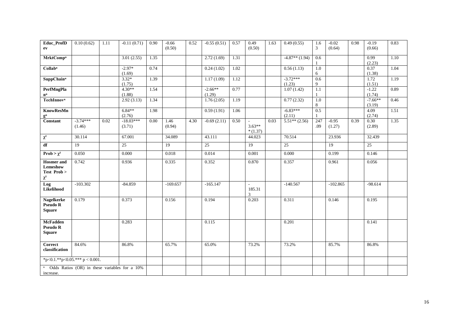| Educ_ProfD<br>ev                                                        | 0.10(0.62)           | 1.11 | $-0.11(0.71)$         | 0.90     | $-0.66$<br>(0.50) | 0.52 | $-0.55(0.51)$       | 0.57 | 0.49<br>(0.50)        | 1.63 | 0.49(0.55)           | 1.6<br>3     | $-0.02$<br>(0.64) | 0.98 | $-0.19$<br>(0.66)   | 0.83 |
|-------------------------------------------------------------------------|----------------------|------|-----------------------|----------|-------------------|------|---------------------|------|-----------------------|------|----------------------|--------------|-------------------|------|---------------------|------|
| <b>MrktComp</b> <sup>n</sup>                                            |                      |      | 3.01(2.55)            | 1.35     |                   |      | 2.72(1.69)          | 1.31 |                       |      | $-4.87**$ (1.94)     | 0.6<br>1     |                   |      | 0.99<br>(2.23)      | 1.10 |
| Collab <sup>n</sup>                                                     |                      |      | $-2.97*$<br>(1.69)    | 0.74     |                   |      | 0.24(1.02)          | 1.02 |                       |      | 0.56(1.13)           | $1.0\,$<br>6 |                   |      | 0.37<br>(1.38)      | 1.04 |
| <b>SuppChain</b> <sup>n</sup>                                           |                      |      | $3.32*$<br>(1.75)     | 1.39     |                   |      | 1.17(1.09)          | 1.12 |                       |      | $-3.72***$<br>(1.23) | 0.6<br>9     |                   |      | 1.72<br>(1.51)      | 1.19 |
| <b>PerfMngPla</b><br>$\mathbf{n}^{\mathbf{n}}$                          |                      |      | $4.30**$<br>(1.88)    | 1.54     |                   |      | $-2.66**$<br>(1.29) | 0.77 |                       |      | 1.07(1.42)           | 1.1<br>1     |                   |      | $-1.22$<br>(1.74)   | 0.89 |
| <b>TechInnovn</b>                                                       |                      |      | 2.92(3.13)            | 1.34     |                   |      | 1.76(2.05)          | 1.19 |                       |      | 0.77(2.32)           | $1.0\,$<br>8 |                   |      | $-7.66**$<br>(3.19) | 0.46 |
| <b>KnowResMn</b><br>$\mathbf{g}^{\mathbf{n}}$                           |                      |      | $6.84**$<br>(2.76)    | 1.98     |                   |      | 0.59(1.91)          | 1.06 |                       |      | $-6.83***$<br>(2.11) | 0.5          |                   |      | 4.09<br>(2.74)      | 1.51 |
| Constant                                                                | $-3.74***$<br>(1.46) | 0.02 | $-18.03***$<br>(3.71) | $0.00\,$ | 1.46<br>(0.94)    | 4.30 | $-0.69(2.11)$       | 0.50 | $3.63**$<br>$*(1.37)$ | 0.03 | $5.51**$ (2.56)      | 247<br>.09   | $-0.95$<br>(1.27) | 0.39 | 0.30<br>(2.89)      | 1.35 |
| $\chi^2$                                                                | 30.114               |      | 67.001                |          | 34.089            |      | 43.111              |      | 44.023                |      | 70.514               |              | 23.936            |      | 32.439              |      |
| df                                                                      | 19                   |      | 25                    |          | 19                |      | $\overline{25}$     |      | 19                    |      | 25                   |              | 19                |      | 25                  |      |
| Prob > $\chi^2$                                                         | 0.050                |      | 0.000                 |          | 0.018             |      | 0.014               |      | 0.001                 |      | 0.000                |              | 0.199             |      | 0.146               |      |
| <b>Hosmer</b> and<br>Lemeshow<br>Test Prob ><br>$\chi^2$                | 0.742                |      | 0.936                 |          | 0.335             |      | 0.352               |      | 0.870                 |      | 0.357                |              | 0.961             |      | 0.056               |      |
| Log<br>Likelihood                                                       | $-103.302$           |      | $-84.859$             |          | $-169.657$        |      | $-165.147$          |      | 185.31<br>3           |      | $-140.567$           |              | $-102.865$        |      | $-98.614$           |      |
| <b>Nagelkerke</b><br>Pseudo R<br><b>Square</b>                          | 0.179                |      | 0.373                 |          | 0.156             |      | 0.194               |      | 0.203                 |      | 0.311                |              | 0.146             |      | 0.195               |      |
| <b>McFadden</b><br><b>Pseudo R</b><br><b>Square</b>                     |                      |      | 0.283                 |          |                   |      | 0.115               |      |                       |      | 0.201                |              |                   |      | 0.141               |      |
| <b>Correct</b><br>classification                                        | 84.6%                |      | 86.8%                 |          | 65.7%             |      | 65.0%               |      | 73.2%                 |      | 73.2%                |              | 85.7%             |      | 86.8%               |      |
| *p<0.1.**p<0.05.*** p < 0.001.                                          |                      |      |                       |          |                   |      |                     |      |                       |      |                      |              |                   |      |                     |      |
| <sup>n</sup> Odds Ratios (OR) in these variables for a 10%<br>increase. |                      |      |                       |          |                   |      |                     |      |                       |      |                      |              |                   |      |                     |      |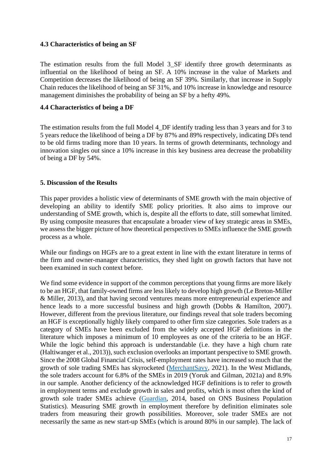# **4.3 Characteristics of being an SF**

The estimation results from the full Model 3 SF identify three growth determinants as influential on the likelihood of being an SF. A 10% increase in the value of Markets and Competition decreases the likelihood of being an SF 39%. Similarly, that increase in Supply Chain reduces the likelihood of being an SF 31%, and 10% increase in knowledge and resource management diminishes the probability of being an SF by a hefty 49%.

# **4.4 Characteristics of being a DF**

The estimation results from the full Model 4\_DF identify trading less than 3 years and for 3 to 5 years reduce the likelihood of being a DF by 87% and 89% respectively, indicating DFs tend to be old firms trading more than 10 years. In terms of growth determinants, technology and innovation singles out since a 10% increase in this key business area decrease the probability of being a DF by 54%.

# **5. Discussion of the Results**

This paper provides a holistic view of determinants of SME growth with the main objective of developing an ability to identify SME policy priorities. It also aims to improve our understanding of SME growth, which is, despite all the efforts to date, still somewhat limited. By using composite measures that encapsulate a broader view of key strategic areas in SMEs, we assess the bigger picture of how theoretical perspectives to SMEs influence the SME growth process as a whole.

While our findings on HGFs are to a great extent in line with the extant literature in terms of the firm and owner-manager characteristics, they shed light on growth factors that have not been examined in such context before.

We find some evidence in support of the common perceptions that young firms are more likely to be an HGF, that family-owned firms are less likely to develop high growth (Le Breton-Miller & Miller, 2013), and that having second ventures means more entrepreneurial experience and hence leads to a more successful business and high growth (Dobbs & Hamilton, 2007). However, different from the previous literature, our findings reveal that sole traders becoming an HGF is exceptionally highly likely compared to other firm size categories. Sole traders as a category of SMEs have been excluded from the widely accepted HGF definitions in the literature which imposes a minimum of 10 employees as one of the criteria to be an HGF. While the logic behind this approach is understandable (i.e. they have a high churn rate (Haltiwanger et al., 2013)), such exclusion overlooks an important perspective to SME growth. Since the 2008 Global Financial Crisis, self-employment rates have increased so much that the growth of sole trading SMEs has skyrocketed [\(MerchantSavy,](https://www.merchantsavvy.co.uk/uk-sme-data-stats-charts/) 2021). In the West Midlands, the sole traders account for 6.8% of the SMEs in 2019 (Yoruk and Gilman, 2021a) and 8.9% in our sample. Another deficiency of the acknowledged HGF definitions is to refer to growth in employment terms and exclude growth in sales and profits, which is most often the kind of growth sole trader SMEs achieve [\(Guardian,](https://www.theguardian.com/small-business-network/2014/nov/26/sole-traders-are-driving-uk-business-growth) 2014, based on ONS Business Population Statistics). Measuring SME growth in employment therefore by definition eliminates sole traders from measuring their growth possibilities. Moreover, sole trader SMEs are not necessarily the same as new start-up SMEs (which is around 80% in our sample). The lack of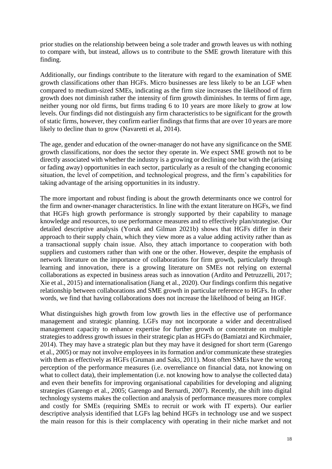prior studies on the relationship between being a sole trader and growth leaves us with nothing to compare with, but instead, allows us to contribute to the SME growth literature with this finding.

Additionally, our findings contribute to the literature with regard to the examination of SME growth classifications other than HGFs. Micro businesses are less likely to be an LGF when compared to medium-sized SMEs, indicating as the firm size increases the likelihood of firm growth does not diminish rather the intensity of firm growth diminishes. In terms of firm age, neither young nor old firms, but firms trading 6 to 10 years are more likely to grow at low levels. Our findings did not distinguish any firm characteristics to be significant for the growth of static firms, however, they confirm earlier findings that firms that are over 10 years are more likely to decline than to grow (Navaretti et al, 2014).

The age, gender and education of the owner-manager do not have any significance on the SME growth classifications, nor does the sector they operate in. We expect SME growth not to be directly associated with whether the industry is a growing or declining one but with the (arising or fading away) opportunities in each sector, particularly as a result of the changing economic situation, the level of competition, and technological progress, and the firm's capabilities for taking advantage of the arising opportunities in its industry.

The more important and robust finding is about the growth determinants once we control for the firm and owner-manager characteristics. In line with the extant literature on HGFs, we find that HGFs high growth performance is strongly supported by their capability to manage knowledge and resources, to use performance measures and to effectively plan/strategise. Our detailed descriptive analysis (Yoruk and Gilman 2021b) shows that HGFs differ in their approach to their supply chain, which they view more as a value adding activity rather than as a transactional supply chain issue. Also, they attach importance to cooperation with both suppliers and customers rather than with one or the other. However, despite the emphasis of network literature on the importance of collaborations for firm growth, particularly through learning and innovation, there is a growing literature on SMEs not relying on external collaborations as expected in business areas such as innovation (Ardito and Petruzzelli, 2017; Xie et al., 2015) and internationalisation (Jiang et al., 2020). Our findings confirm this negative relationship between collaborations and SME growth in particular reference to HGFs. In other words, we find that having collaborations does not increase the likelihood of being an HGF.

What distinguishes high growth from low growth lies in the effective use of performance management and strategic planning. LGFs may not incorporate a wider and decentralised management capacity to enhance expertise for further growth or concentrate on multiple strategies to address growth issues in their strategic plan as HGFs do (Bamiatzi and Kirchmaier, 2014). They may have a strategic plan but they may have it designed for short term (Garengo et al., 2005) or may not involve employees in its formation and/or communicate these strategies with them as effectively as HGFs (Gruman and Saks, 2011). Most often SMEs have the wrong perception of the performance measures (i.e. overreliance on financial data, not knowing on what to collect data), their implementation (i.e. not knowing how to analyse the collected data) and even their benefits for improving organisational capabilities for developing and aligning strategies (Garengo et al., 2005; Garengo and Bernardi, 2007). Recently, the shift into digital technology systems makes the collection and analysis of performance measures more complex and costly for SMEs (requiring SMEs to recruit or work with IT experts). Our earlier descriptive analysis identified that LGFs lag behind HGFs in technology use and we suspect the main reason for this is their complacency with operating in their niche market and not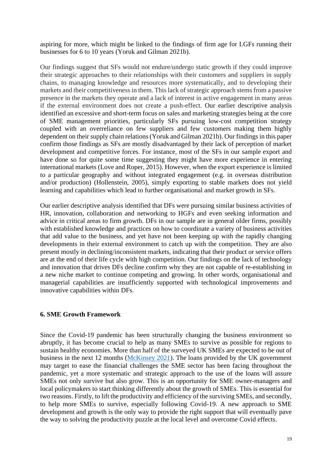aspiring for more, which might be linked to the findings of firm age for LGFs running their businesses for 6 to 10 years (Yoruk and Gilman 2021b).

Our findings suggest that SFs would not endure/undergo static growth if they could improve their strategic approaches to their relationships with their customers and suppliers in supply chains, to managing knowledge and resources more systematically, and to developing their markets and their competitiveness in them. This lack of strategic approach stems from a passive presence in the markets they operate and a lack of interest in active engagement in many areas if the external environment does not create a push-effect. Our earlier descriptive analysis identified an excessive and short-term focus on sales and marketing strategies being at the core of SME management priorities, particularly SFs pursuing low-cost competition strategy coupled with an overreliance on few suppliers and few customers making them highly dependent on their supply chain relations (Yoruk and Gilman 2021b). Our findings in this paper confirm those findings as SFs are mostly disadvantaged by their lack of perception of market development and competitive forces. For instance, most of the SFs in our sample export and have done so for quite some time suggesting they might have more experience in entering international markets (Love and Roper, 2015). However, when the export experience is limited to a particular geography and without integrated engagement (e.g. in overseas distribution and/or production) (Hollenstein, 2005), simply exporting to stable markets does not yield learning and capabilities which lead to further organisational and market growth in SFs.

Our earlier descriptive analysis identified that DFs were pursuing similar business activities of HR, innovation, collaboration and networking to HGFs and even seeking information and advice in critical areas to firm growth. DFs in our sample are in general older firms, possibly with established knowledge and practices on how to coordinate a variety of business activities that add value to the business, and yet have not been keeping up with the rapidly changing developments in their external environment to catch up with the competition. They are also present mostly in declining/inconsistent markets, indicating that their product or service offers are at the end of their life cycle with high competition. Our findings on the lack of technology and innovation that drives DFs decline confirm why they are not capable of re-establishing in a new niche market to continue competing and growing. In other words, organisational and managerial capabilities are insufficiently supported with technological improvements and innovative capabilities within DFs.

#### **6. SME Growth Framework**

Since the Covid-19 pandemic has been structurally changing the business environment so abruptly, it has become crucial to help as many SMEs to survive as possible for regions to sustain healthy economies. More than half of the surveyed UK SMEs are expected to be out of business in the next 12 months [\(McKinsey 2021\)](https://www.mckinsey.com/industries/public-and-social-sector/our-insights/uk-small-and-medium-size-enterprises-impact-of-the-covid-19-crisis). The loans provided by the UK government may target to ease the financial challenges the SME sector has been facing throughout the pandemic, yet a more systematic and strategic approach to the use of the loans will assure SMEs not only survive but also grow. This is an opportunity for SME owner-managers and local policymakers to start thinking differently about the growth of SMEs. This is essential for two reasons. Firstly, to lift the productivity and efficiency of the surviving SMEs, and secondly, to help more SMEs to survive, especially following Covid-19. A new approach to SME development and growth is the only way to provide the right support that will eventually pave the way to solving the productivity puzzle at the local level and overcome Covid effects.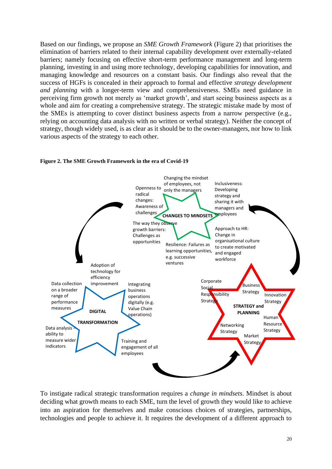Based on our findings, we propose an *SME Growth Framework* (Figure 2) that prioritises the elimination of barriers related to their internal capability development over externally-related barriers; namely focusing on effective short-term performance management and long-term planning, investing in and using more technology, developing capabilities for innovation, and managing knowledge and resources on a constant basis. Our findings also reveal that the success of HGFs is concealed in their approach to formal and effective *strategy development and planning* with a longer-term view and comprehensiveness. SMEs need guidance in perceiving firm growth not merely as 'market growth', and start seeing business aspects as a whole and aim for creating a comprehensive strategy. The strategic mistake made by most of the SMEs is attempting to cover distinct business aspects from a narrow perspective (e.g., relying on accounting data analysis with no written or verbal strategy). Neither the concept of strategy, though widely used, is as clear as it should be to the owner-managers, nor how to link various aspects of the strategy to each other.



#### **Figure 2. The SME Growth Framework in the era of Covid-19**

To instigate radical strategic transformation requires a *change in mindsets*. Mindset is about deciding what growth means to each SME, turn the level of growth they would like to achieve into an aspiration for themselves and make conscious choices of strategies, partnerships, technologies and people to achieve it. It requires the development of a different approach to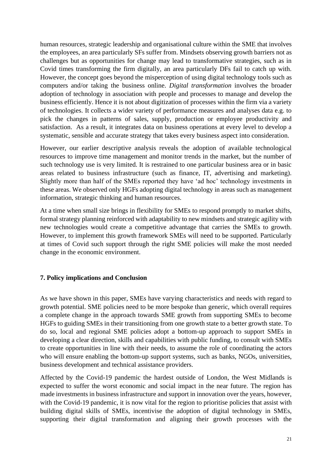human resources, strategic leadership and organisational culture within the SME that involves the employees, an area particularly SFs suffer from. Mindsets observing growth barriers not as challenges but as opportunities for change may lead to transformative strategies, such as in Covid times transforming the firm digitally, an area particularly DFs fail to catch up with. However, the concept goes beyond the misperception of using digital technology tools such as computers and/or taking the business online. *Digital transformation* involves the broader adoption of technology in association with people and processes to manage and develop the business efficiently. Hence it is not about digitization of processes within the firm via a variety of technologies. It collects a wider variety of performance measures and analyses data e.g. to pick the changes in patterns of sales, supply, production or employee productivity and satisfaction. As a result, it integrates data on business operations at every level to develop a systematic, sensible and accurate strategy that takes every business aspect into consideration.

However, our earlier descriptive analysis reveals the adoption of available technological resources to improve time management and monitor trends in the market, but the number of such technology use is very limited. It is restrained to one particular business area or in basic areas related to business infrastructure (such as finance, IT, advertising and marketing). Slightly more than half of the SMEs reported they have 'ad hoc' technology investments in these areas. We observed only HGFs adopting digital technology in areas such as management information, strategic thinking and human resources.

At a time when small size brings in flexibility for SMEs to respond promptly to market shifts, formal strategy planning reinforced with adaptability to new mindsets and strategic agility with new technologies would create a competitive advantage that carries the SMEs to growth. However, to implement this growth framework SMEs will need to be supported. Particularly at times of Covid such support through the right SME policies will make the most needed change in the economic environment.

#### **7. Policy implications and Conclusion**

As we have shown in this paper, SMEs have varying characteristics and needs with regard to growth potential. SME policies need to be more bespoke than generic, which overall requires a complete change in the approach towards SME growth from supporting SMEs to become HGFs to guiding SMEs in their transitioning from one growth state to a better growth state. To do so, local and regional SME policies adopt a bottom-up approach to support SMEs in developing a clear direction, skills and capabilities with public funding, to consult with SMEs to create opportunities in line with their needs, to assume the role of coordinating the actors who will ensure enabling the bottom-up support systems, such as banks, NGOs, universities, business development and technical assistance providers.

Affected by the Covid-19 pandemic the hardest outside of London, the West Midlands is expected to suffer the worst economic and social impact in the near future. The region has made investments in business infrastructure and support in innovation over the years, however, with the Covid-19 pandemic, it is now vital for the region to prioritise policies that assist with building digital skills of SMEs, incentivise the adoption of digital technology in SMEs, supporting their digital transformation and aligning their growth processes with the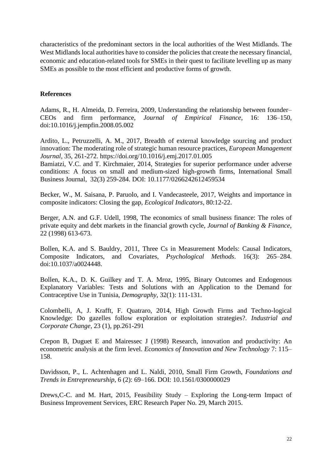characteristics of the predominant sectors in the local authorities of the West Midlands. The West Midlands local authorities have to consider the policies that create the necessary financial, economic and education-related tools for SMEs in their quest to facilitate levelling up as many SMEs as possible to the most efficient and productive forms of growth.

#### **References**

Adams, R., H. Almeida, D. Ferreira, 2009, Understanding the relationship between founder– CEOs and firm performance, *Journal of Empirical Finance*, 16: 136–150, doi:10.1016/j.jempfin.2008.05.002

Ardito, L., Petruzzelli, A. M., 2017, Breadth of external knowledge sourcing and product innovation: The moderating role of strategic human resource practices, *European Management Journal,* 35, 261-272. https://doi.org/10.1016/j.emj.2017.01.005

Bamiatzi, V.C. and T. Kirchmaier, 2014, Strategies for superior performance under adverse conditions: A focus on small and medium-sized high-growth firms, International Small Business Journal, 32(3) 259-284. DOI: 10.1177/0266242612459534

Becker, W., M. Saisana, P. Paruolo, and I. Vandecasteele, 2017, Weights and importance in composite indicators: Closing the gap, *Ecological Indicators,* 80:12-22.

Berger, A.N. and G.F. Udell, 1998, The economics of small business finance: The roles of private equity and debt markets in the financial growth cycle, *Journal of Banking & Finance,* 22 (1998) 613-673.

Bollen, K.A. and S. Bauldry, 2011, Three Cs in Measurement Models: Causal Indicators, Composite Indicators, and Covariates, *Psychological Methods*. 16(3): 265–284. doi:10.1037/a0024448.

Bollen, K.A., D. K. Guilkey and T. A. Mroz, 1995, Binary Outcomes and Endogenous Explanatory Variables: Tests and Solutions with an Application to the Demand for Contraceptive Use in Tunisia, *Demography*, 32(1): 111-131.

Colombelli, A, J. Krafft, F. Quatraro, 2014, High Growth Firms and Techno-logical Knowledge: Do gazelles follow exploration or exploitation strategies?. *Industrial and Corporate Change*, 23 (1), pp.261-291

Crepon B, Duguet E and Mairessec J (1998) Research, innovation and productivity: An econometric analysis at the firm level. *Economics of Innovation and New Technology* 7: 115– 158.

Davidsson, P., L. Achtenhagen and L. Naldi, 2010, Small Firm Growth, *Foundations and Trends in Entrepreneurship*, 6 (2): 69–166. DOI: 10.1561/0300000029

Drews,C-C. and M. Hart, 2015, Feasibility Study – Exploring the Long-term Impact of Business Improvement Services, ERC Research Paper No. 29, March 2015.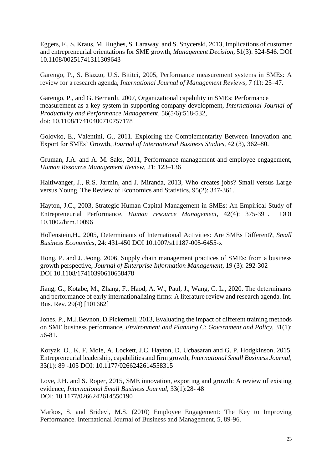Eggers, F., S. Kraus, M. Hughes, S. Laraway and S. Snycerski, 2013, Implications of customer and entrepreneurial orientations for SME growth, *Management Decision,* 51(3): 524-546. DOI 10.1108/00251741311309643

Garengo, P., S. Biazzo, U.S. Bititci, 2005, Performance measurement systems in SMEs: A review for a research agenda, *International Journal of Management Reviews*, 7 (1): 25–47.

Garengo, P., and G. Bernardi, 2007, Organizational capability in SMEs: Performance measurement as a key system in supporting company development, *International Journal of Productivity and Performance Management*, 56(5/6):518-532, doi: 10.1108/17410400710757178

Golovko, E., Valentini, G., 2011. Exploring the Complementarity Between Innovation and Export for SMEs' Growth, *Journal of International Business Studies,* 42 (3), 362–80.

Gruman, J.A. and A. M. Saks, 2011, Performance management and employee engagement, *Human Resource Management Review*, 21: 123–136

Haltiwanger, J., R.S. Jarmin, and J. Miranda, 2013, Who creates jobs? Small versus Large versus Young, The Review of Economics and Statistics, 95(2): 347-361.

Hayton, J.C., 2003, Strategic Human Capital Management in SMEs: An Empirical Study of Entrepreneurial Performance, *Human resource Management*, 42(4): 375-391. [DOI](https://doi.org/10.1002/hrm.10096)  [10.1002/hrm.10096](https://doi.org/10.1002/hrm.10096)

Hollenstein,H., 2005, Determinants of International Activities: Are SMEs Different?, *Small Business Economics*, 24: 431-450 DOI 10.1007/s11187-005-6455-x

Hong, P. and J. Jeong, 2006, Supply chain management practices of SMEs: from a business growth perspective, *Journal of Enterprise Information Management*, 19 (3): 292-302 DOI 10.1108/17410390610658478

Jiang, G., Kotabe, M., Zhang, F., Haod, A. W., Paul, J., Wang, C. L., 2020. The determinants and performance of early internationalizing firms: A literature review and research agenda. Int. Bus. Rev. 29(4) [101662]

Jones, P., M.J.Bevnon, D.Pickernell, 2013, Evaluating the impact of different training methods on SME business performance, *Environment and Planning C: Government and Policy,* 31(1): 56-81.

Koryak, O., K. F. Mole, A. Lockett, J.C. Hayton, D. Ucbasaran and G. P. Hodgkinson, 2015, Entrepreneurial leadership, capabilities and firm growth, *International Small Business Journal*, 33(1): 89 -105 DOI: 10.1177/0266242614558315

Love, J.H. and S. Roper, 2015, SME innovation, exporting and growth: A review of existing evidence, *International Small Business Journal*, 33(1):28- 48 DOI: 10.1177/0266242614550190

Markos, S. and Sridevi, M.S. (2010) Employee Engagement: The Key to Improving Performance. International Journal of Business and Management, 5, 89-96.